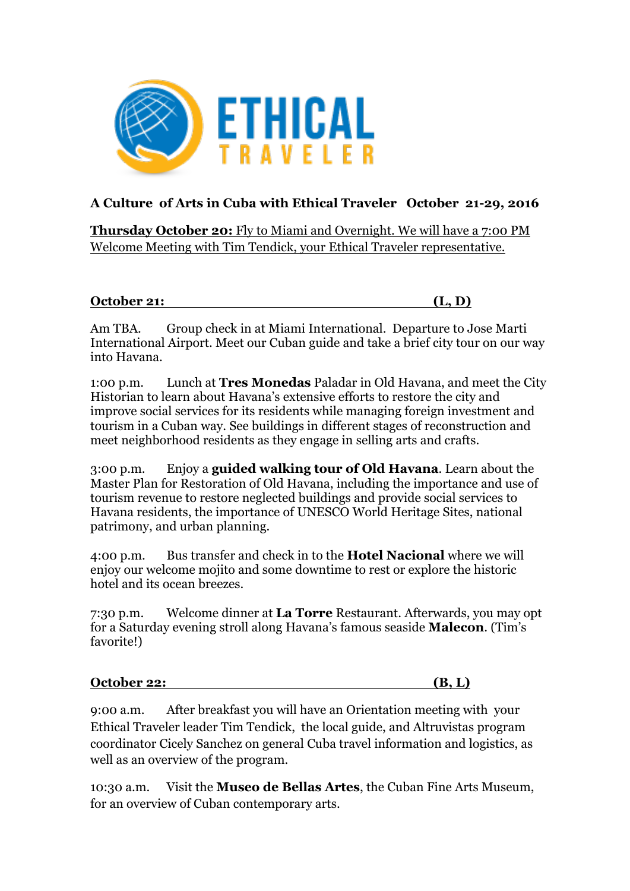

## **A Culture of Arts in Cuba with Ethical Traveler October 21-29, 2016**

**Thursday October 20:** Fly to Miami and Overnight. We will have a 7:00 PM Welcome Meeting with Tim Tendick, your Ethical Traveler representative.

## **October 21: (L, D)**

Am TBA. Group check in at Miami International. Departure to Jose Marti International Airport. Meet our Cuban guide and take a brief city tour on our way into Havana.

1:00 p.m. Lunch at **Tres Monedas** Paladar in Old Havana, and meet the City Historian to learn about Havana's extensive efforts to restore the city and improve social services for its residents while managing foreign investment and tourism in a Cuban way. See buildings in different stages of reconstruction and meet neighborhood residents as they engage in selling arts and crafts.

3:00 p.m. Enjoy a **guided walking tour of Old Havana**. Learn about the Master Plan for Restoration of Old Havana, including the importance and use of tourism revenue to restore neglected buildings and provide social services to Havana residents, the importance of UNESCO World Heritage Sites, national patrimony, and urban planning.

4:00 p.m. Bus transfer and check in to the **Hotel Nacional** where we will enjoy our welcome mojito and some downtime to rest or explore the historic hotel and its ocean breezes.

7:30 p.m. Welcome dinner at **La Torre** Restaurant. Afterwards, you may opt for a Saturday evening stroll along Havana's famous seaside **Malecon**. (Tim's favorite!)

## **October 22: (B, L)**

9:00 a.m. After breakfast you will have an Orientation meeting with your Ethical Traveler leader Tim Tendick, the local guide, and Altruvistas program coordinator Cicely Sanchez on general Cuba travel information and logistics, as well as an overview of the program.

10:30 a.m. Visit the **Museo de Bellas Artes**, the Cuban Fine Arts Museum, for an overview of Cuban contemporary arts.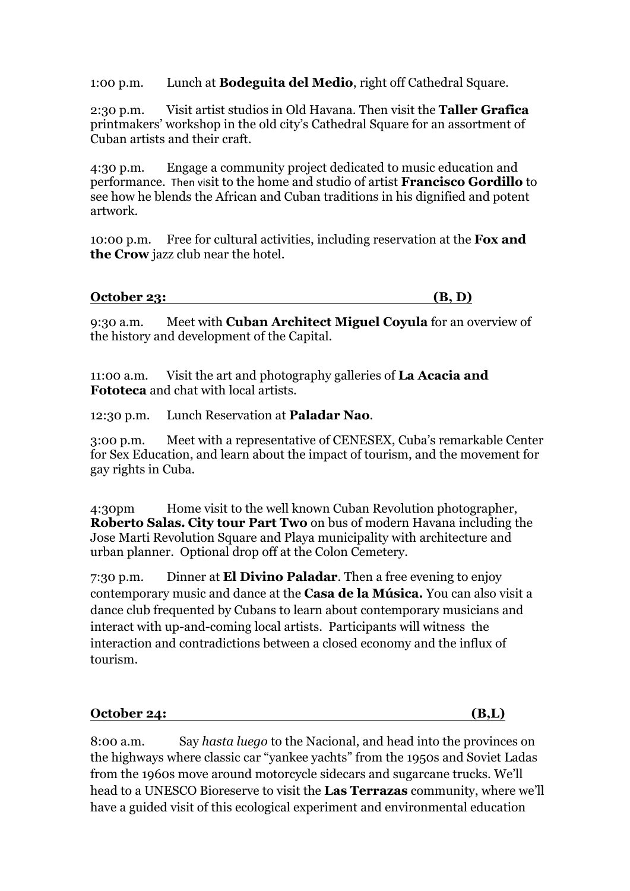1:00 p.m. Lunch at **Bodeguita del Medio**, right off Cathedral Square.

2:30 p.m. Visit artist studios in Old Havana. Then visit the **Taller Grafica**  printmakers' workshop in the old city's Cathedral Square for an assortment of Cuban artists and their craft.

4:30 p.m. Engage a community project dedicated to music education and performance. Then visit to the home and studio of artist **Francisco Gordillo** to see how he blends the African and Cuban traditions in his dignified and potent artwork.

10:00 p.m. Free for cultural activities, including reservation at the **Fox and the Crow** jazz club near the hotel.

| October 23: |  |  |
|-------------|--|--|
|             |  |  |

9:30 a.m. Meet with **Cuban Architect Miguel Coyula** for an overview of the history and development of the Capital.

11:00 a.m. Visit the art and photography galleries of **La Acacia and Fototeca** and chat with local artists.

12:30 p.m. Lunch Reservation at **Paladar Nao**.

3:00 p.m. Meet with a representative of CENESEX, Cuba's remarkable Center for Sex Education, and learn about the impact of tourism, and the movement for gay rights in Cuba.

4:30pm Home visit to the well known Cuban Revolution photographer, **Roberto Salas. City tour Part Two** on bus of modern Havana including the Jose Marti Revolution Square and Playa municipality with architecture and urban planner. Optional drop off at the Colon Cemetery.

7:30 p.m. Dinner at **El Divino Paladar**. Then a free evening to enjoy contemporary music and dance at the **Casa de la Música.** You can also visit a dance club frequented by Cubans to learn about contemporary musicians and interact with up-and-coming local artists. Participants will witness the interaction and contradictions between a closed economy and the influx of tourism.

**October 24: (B,L)**

8:00 a.m. Say *hasta luego* to the Nacional, and head into the provinces on the highways where classic car "yankee yachts" from the 1950s and Soviet Ladas from the 1960s move around motorcycle sidecars and sugarcane trucks. We'll head to a UNESCO Bioreserve to visit the **Las Terrazas** community, where we'll have a guided visit of this ecological experiment and environmental education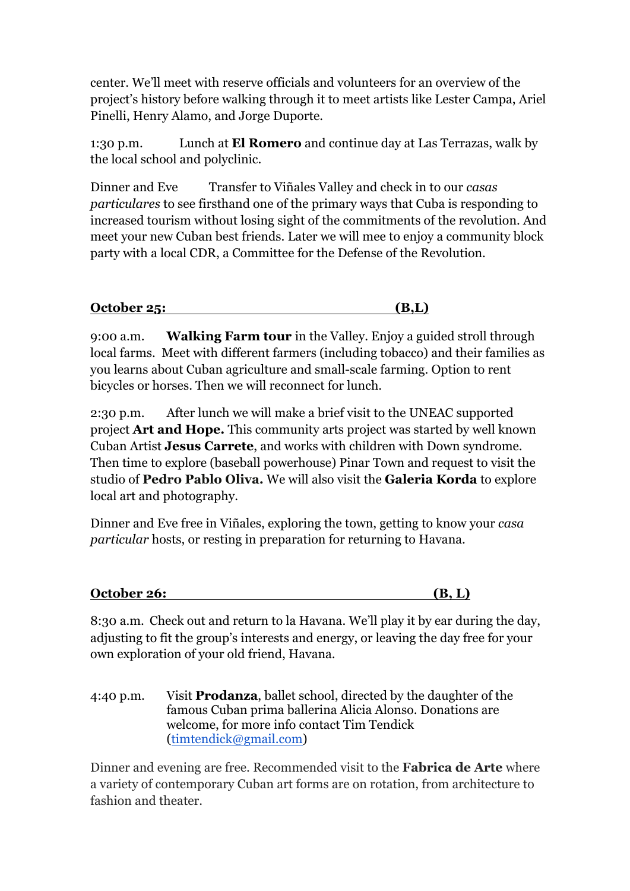center. We'll meet with reserve officials and volunteers for an overview of the project's history before walking through it to meet artists like Lester Campa, Ariel Pinelli, Henry Alamo, and Jorge Duporte.

1:30 p.m. Lunch at **El Romero** and continue day at Las Terrazas, walk by the local school and polyclinic.

Dinner and Eve Transfer to Viñales Valley and check in to our *casas particulares* to see firsthand one of the primary ways that Cuba is responding to increased tourism without losing sight of the commitments of the revolution. And meet your new Cuban best friends. Later we will mee to enjoy a community block party with a local CDR, a Committee for the Defense of the Revolution.

| October 25: |
|-------------|
|-------------|

9:00 a.m. **Walking Farm tour** in the Valley. Enjoy a guided stroll through local farms. Meet with different farmers (including tobacco) and their families as you learns about Cuban agriculture and small-scale farming. Option to rent bicycles or horses. Then we will reconnect for lunch.

2:30 p.m. After lunch we will make a brief visit to the UNEAC supported project **Art and Hope.** This community arts project was started by well known Cuban Artist **Jesus Carrete**, and works with children with Down syndrome. Then time to explore (baseball powerhouse) Pinar Town and request to visit the studio of **Pedro Pablo Oliva.** We will also visit the **Galeria Korda** to explore local art and photography.

Dinner and Eve free in Viñales, exploring the town, getting to know your *casa particular* hosts, or resting in preparation for returning to Havana.

| October 26: |  |  |
|-------------|--|--|
|             |  |  |

8:30 a.m. Check out and return to la Havana. We'll play it by ear during the day, adjusting to fit the group's interests and energy, or leaving the day free for your own exploration of your old friend, Havana.

4:40 p.m. Visit **Prodanza**, ballet school, directed by the daughter of the famous Cuban prima ballerina Alicia Alonso. Donations are welcome, for more info contact Tim Tendick (timtendick@gmail.com)

Dinner and evening are free. Recommended visit to the **Fabrica de Arte** where a variety of contemporary Cuban art forms are on rotation, from architecture to fashion and theater.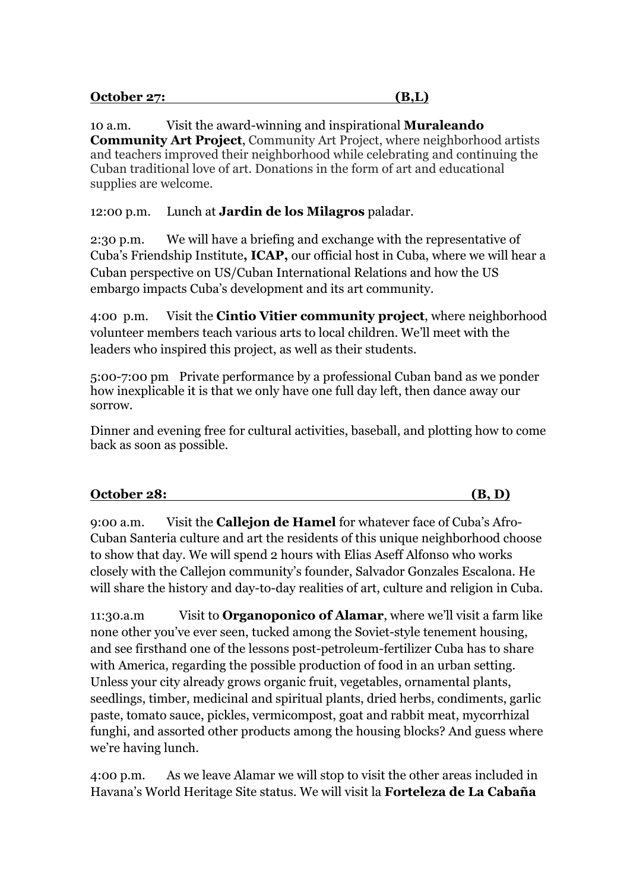| <b>October 27:</b> |  |  |
|--------------------|--|--|
|                    |  |  |

10 a.m. Visit the award-winning and inspirational **Muraleando Community Art Project**, Community Art Project, where neighborhood artists and teachers improved their neighborhood while celebrating and continuing the Cuban traditional love of art. Donations in the form of art and educational supplies are welcome.

12:00 p.m. Lunch at **Jardin de los Milagros** paladar.

2:30 p.m. We will have a briefing and exchange with the representative of Cuba's Friendship Institute**, ICAP,** our official host in Cuba, where we will hear a Cuban perspective on US/Cuban International Relations and how the US embargo impacts Cuba's development and its art community.

4:00 p.m. Visit the **Cintio Vitier community project**, where neighborhood volunteer members teach various arts to local children. We'll meet with the leaders who inspired this project, as well as their students.

5:00-7:00 pm Private performance by a professional Cuban band as we ponder how inexplicable it is that we only have one full day left, then dance away our sorrow.

Dinner and evening free for cultural activities, baseball, and plotting how to come back as soon as possible.

| October 28: |  |
|-------------|--|
|             |  |

9:00 a.m. Visit the **Callejon de Hamel** for whatever face of Cuba's Afro-Cuban Santeria culture and art the residents of this unique neighborhood choose to show that day. We will spend 2 hours with Elias Aseff Alfonso who works closely with the Callejon community's founder, Salvador Gonzales Escalona. He will share the history and day-to-day realities of art, culture and religion in Cuba.

11:30.a.m Visit to **Organoponico of Alamar**, where we'll visit a farm like none other you've ever seen, tucked among the Soviet-style tenement housing, and see firsthand one of the lessons post-petroleum-fertilizer Cuba has to share with America, regarding the possible production of food in an urban setting. Unless your city already grows organic fruit, vegetables, ornamental plants, seedlings, timber, medicinal and spiritual plants, dried herbs, condiments, garlic paste, tomato sauce, pickles, vermicompost, goat and rabbit meat, mycorrhizal funghi, and assorted other products among the housing blocks? And guess where we're having lunch.

4:00 p.m. As we leave Alamar we will stop to visit the other areas included in Havana's World Heritage Site status. We will visit la **Forteleza de La Cabaña**